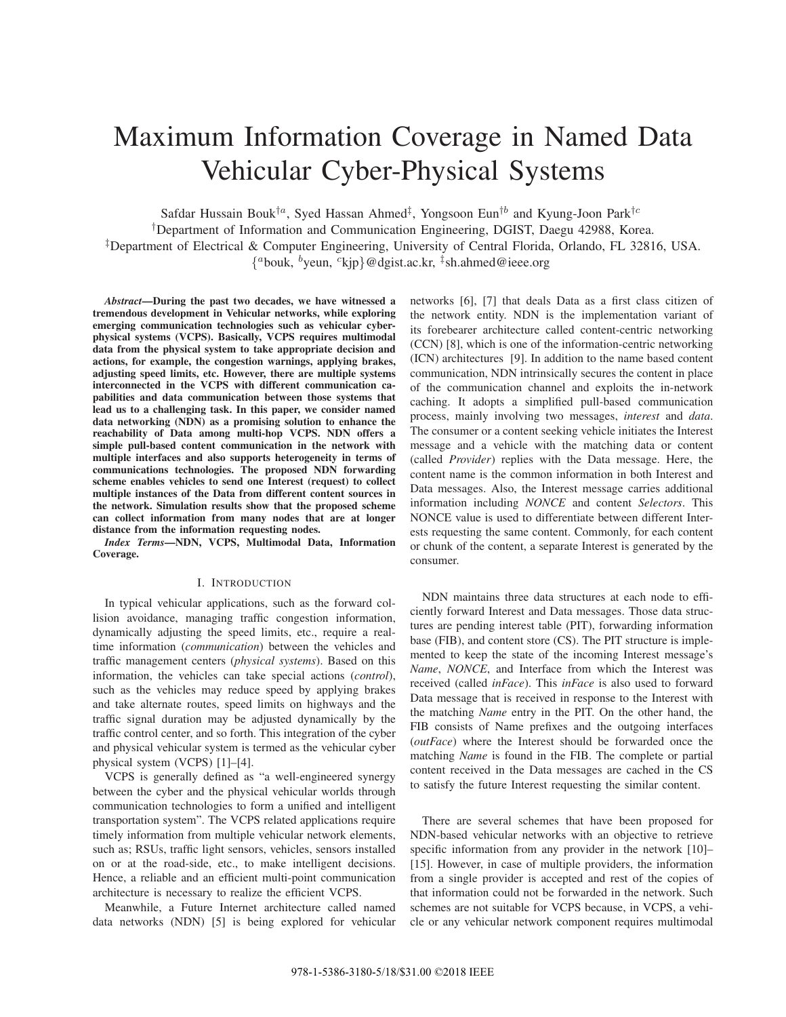# Maximum Information Coverage in Named Data Vehicular Cyber-Physical Systems

Safdar Hussain Bouk $^{\dagger a}$ , Syed Hassan Ahmed $^{\ddagger}$ , Yongsoon Eun $^{\dagger b}$  and Kyung-Joon Park $^{\dagger c}$ 

†Department of Information and Communication Engineering, DGIST, Daegu 42988, Korea.

‡Department of Electrical & Computer Engineering, University of Central Florida, Orlando, FL 32816, USA.

{ <sup>a</sup>bouk, <sup>b</sup>yeun, <sup>c</sup>kjp}@dgist.ac.kr, ‡ sh.ahmed@ieee.org

*Abstract***—During the past two decades, we have witnessed a tremendous development in Vehicular networks, while exploring emerging communication technologies such as vehicular cyberphysical systems (VCPS). Basically, VCPS requires multimodal data from the physical system to take appropriate decision and actions, for example, the congestion warnings, applying brakes, adjusting speed limits, etc. However, there are multiple systems interconnected in the VCPS with different communication capabilities and data communication between those systems that lead us to a challenging task. In this paper, we consider named data networking (NDN) as a promising solution to enhance the reachability of Data among multi-hop VCPS. NDN offers a simple pull-based content communication in the network with multiple interfaces and also supports heterogeneity in terms of communications technologies. The proposed NDN forwarding scheme enables vehicles to send one Interest (request) to collect multiple instances of the Data from different content sources in the network. Simulation results show that the proposed scheme can collect information from many nodes that are at longer distance from the information requesting nodes.**

*Index Terms***—NDN, VCPS, Multimodal Data, Information Coverage.**

#### I. INTRODUCTION

In typical vehicular applications, such as the forward collision avoidance, managing traffic congestion information, dynamically adjusting the speed limits, etc., require a realtime information (*communication*) between the vehicles and traffic management centers (*physical systems*). Based on this information, the vehicles can take special actions (*control*), such as the vehicles may reduce speed by applying brakes and take alternate routes, speed limits on highways and the traffic signal duration may be adjusted dynamically by the traffic control center, and so forth. This integration of the cyber and physical vehicular system is termed as the vehicular cyber physical system (VCPS) [1]–[4].

VCPS is generally defined as "a well-engineered synergy between the cyber and the physical vehicular worlds through communication technologies to form a unified and intelligent transportation system". The VCPS related applications require timely information from multiple vehicular network elements, such as; RSUs, traffic light sensors, vehicles, sensors installed on or at the road-side, etc., to make intelligent decisions. Hence, a reliable and an efficient multi-point communication architecture is necessary to realize the efficient VCPS.

Meanwhile, a Future Internet architecture called named data networks (NDN) [5] is being explored for vehicular networks [6], [7] that deals Data as a first class citizen of the network entity. NDN is the implementation variant of its forebearer architecture called content-centric networking (CCN) [8], which is one of the information-centric networking (ICN) architectures [9]. In addition to the name based content communication, NDN intrinsically secures the content in place of the communication channel and exploits the in-network caching. It adopts a simplified pull-based communication process, mainly involving two messages, *interest* and *data*. The consumer or a content seeking vehicle initiates the Interest message and a vehicle with the matching data or content (called *Provider*) replies with the Data message. Here, the content name is the common information in both Interest and Data messages. Also, the Interest message carries additional information including *NONCE* and content *Selectors*. This NONCE value is used to differentiate between different Interests requesting the same content. Commonly, for each content or chunk of the content, a separate Interest is generated by the consumer.

NDN maintains three data structures at each node to efficiently forward Interest and Data messages. Those data structures are pending interest table (PIT), forwarding information base (FIB), and content store (CS). The PIT structure is implemented to keep the state of the incoming Interest message's *Name*, *NONCE*, and Interface from which the Interest was received (called *inFace*). This *inFace* is also used to forward Data message that is received in response to the Interest with the matching *Name* entry in the PIT. On the other hand, the FIB consists of Name prefixes and the outgoing interfaces (*outFace*) where the Interest should be forwarded once the matching *Name* is found in the FIB. The complete or partial content received in the Data messages are cached in the CS to satisfy the future Interest requesting the similar content.

There are several schemes that have been proposed for NDN-based vehicular networks with an objective to retrieve specific information from any provider in the network [10]– [15]. However, in case of multiple providers, the information from a single provider is accepted and rest of the copies of that information could not be forwarded in the network. Such schemes are not suitable for VCPS because, in VCPS, a vehicle or any vehicular network component requires multimodal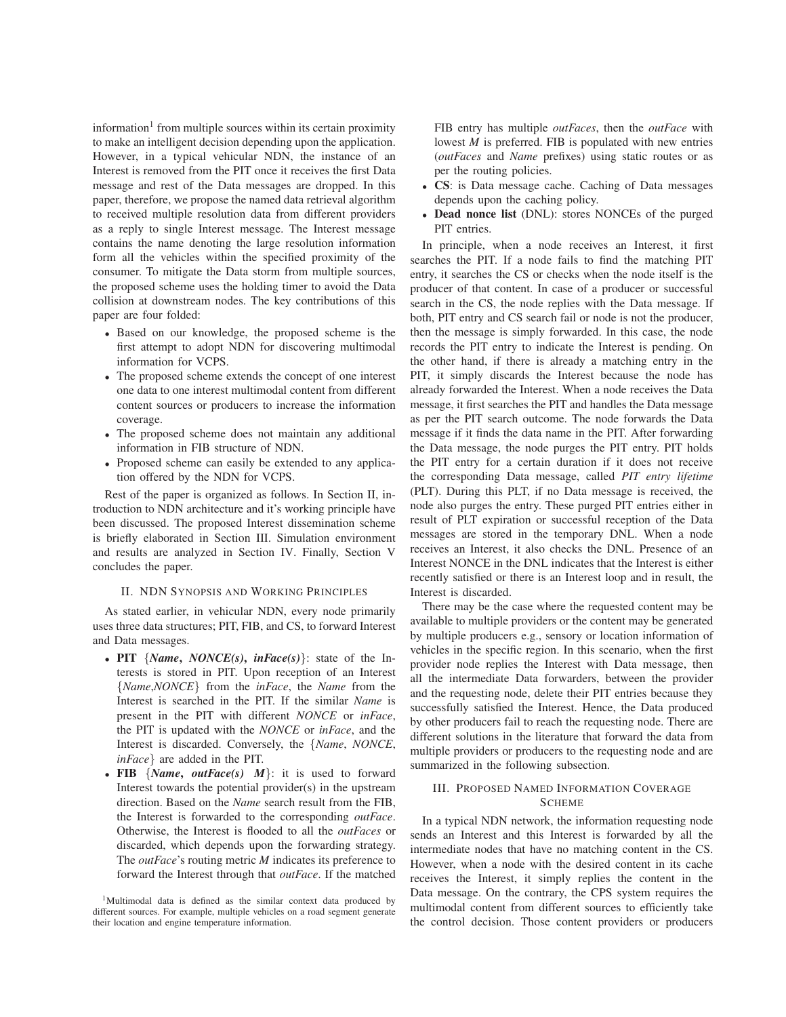information<sup>1</sup> from multiple sources within its certain proximity to make an intelligent decision depending upon the application. However, in a typical vehicular NDN, the instance of an Interest is removed from the PIT once it receives the first Data message and rest of the Data messages are dropped. In this paper, therefore, we propose the named data retrieval algorithm to received multiple resolution data from different providers as a reply to single Interest message. The Interest message contains the name denoting the large resolution information form all the vehicles within the specified proximity of the consumer. To mitigate the Data storm from multiple sources, the proposed scheme uses the holding timer to avoid the Data collision at downstream nodes. The key contributions of this paper are four folded:

- Based on our knowledge, the proposed scheme is the first attempt to adopt NDN for discovering multimodal information for VCPS.
- The proposed scheme extends the concept of one interest one data to one interest multimodal content from different content sources or producers to increase the information coverage.
- The proposed scheme does not maintain any additional information in FIB structure of NDN.
- Proposed scheme can easily be extended to any application offered by the NDN for VCPS.

Rest of the paper is organized as follows. In Section II, introduction to NDN architecture and it's working principle have been discussed. The proposed Interest dissemination scheme is briefly elaborated in Section III. Simulation environment and results are analyzed in Section IV. Finally, Section V concludes the paper.

# II. NDN SYNOPSIS AND WORKING PRINCIPLES

As stated earlier, in vehicular NDN, every node primarily uses three data structures; PIT, FIB, and CS, to forward Interest and Data messages.

- **PIT** {*Name***,** *NONCE(s)***,** *inFace(s)*}: state of the Interests is stored in PIT. Upon reception of an Interest {*Name*,*NONCE*} from the *inFace*, the *Name* from the Interest is searched in the PIT. If the similar *Name* is present in the PIT with different *NONCE* or *inFace*, the PIT is updated with the *NONCE* or *inFace*, and the Interest is discarded. Conversely, the {*Name*, *NONCE*, *inFace*} are added in the PIT.
- FIB  $\{Name, outFace(s) \mid M\}$ : it is used to forward Interest towards the potential provider(s) in the upstream direction. Based on the *Name* search result from the FIB, the Interest is forwarded to the corresponding *outFace*. Otherwise, the Interest is flooded to all the *outFaces* or discarded, which depends upon the forwarding strategy. The *outFace*'s routing metric *M* indicates its preference to forward the Interest through that *outFace*. If the matched

FIB entry has multiple *outFaces*, then the *outFace* with lowest *M* is preferred. FIB is populated with new entries (*outFaces* and *Name* prefixes) using static routes or as per the routing policies.

- **CS**: is Data message cache. Caching of Data messages depends upon the caching policy.
- **Dead nonce list** (DNL): stores NONCEs of the purged PIT entries.

In principle, when a node receives an Interest, it first searches the PIT. If a node fails to find the matching PIT entry, it searches the CS or checks when the node itself is the producer of that content. In case of a producer or successful search in the CS, the node replies with the Data message. If both, PIT entry and CS search fail or node is not the producer, then the message is simply forwarded. In this case, the node records the PIT entry to indicate the Interest is pending. On the other hand, if there is already a matching entry in the PIT, it simply discards the Interest because the node has already forwarded the Interest. When a node receives the Data message, it first searches the PIT and handles the Data message as per the PIT search outcome. The node forwards the Data message if it finds the data name in the PIT. After forwarding the Data message, the node purges the PIT entry. PIT holds the PIT entry for a certain duration if it does not receive the corresponding Data message, called *PIT entry lifetime* (PLT). During this PLT, if no Data message is received, the node also purges the entry. These purged PIT entries either in result of PLT expiration or successful reception of the Data messages are stored in the temporary DNL. When a node receives an Interest, it also checks the DNL. Presence of an Interest NONCE in the DNL indicates that the Interest is either recently satisfied or there is an Interest loop and in result, the Interest is discarded.

There may be the case where the requested content may be available to multiple providers or the content may be generated by multiple producers e.g., sensory or location information of vehicles in the specific region. In this scenario, when the first provider node replies the Interest with Data message, then all the intermediate Data forwarders, between the provider and the requesting node, delete their PIT entries because they successfully satisfied the Interest. Hence, the Data produced by other producers fail to reach the requesting node. There are different solutions in the literature that forward the data from multiple providers or producers to the requesting node and are summarized in the following subsection.

# III. PROPOSED NAMED INFORMATION COVERAGE **SCHEME**

In a typical NDN network, the information requesting node sends an Interest and this Interest is forwarded by all the intermediate nodes that have no matching content in the CS. However, when a node with the desired content in its cache receives the Interest, it simply replies the content in the Data message. On the contrary, the CPS system requires the multimodal content from different sources to efficiently take the control decision. Those content providers or producers

<sup>&</sup>lt;sup>1</sup>Multimodal data is defined as the similar context data produced by different sources. For example, multiple vehicles on a road segment generate their location and engine temperature information.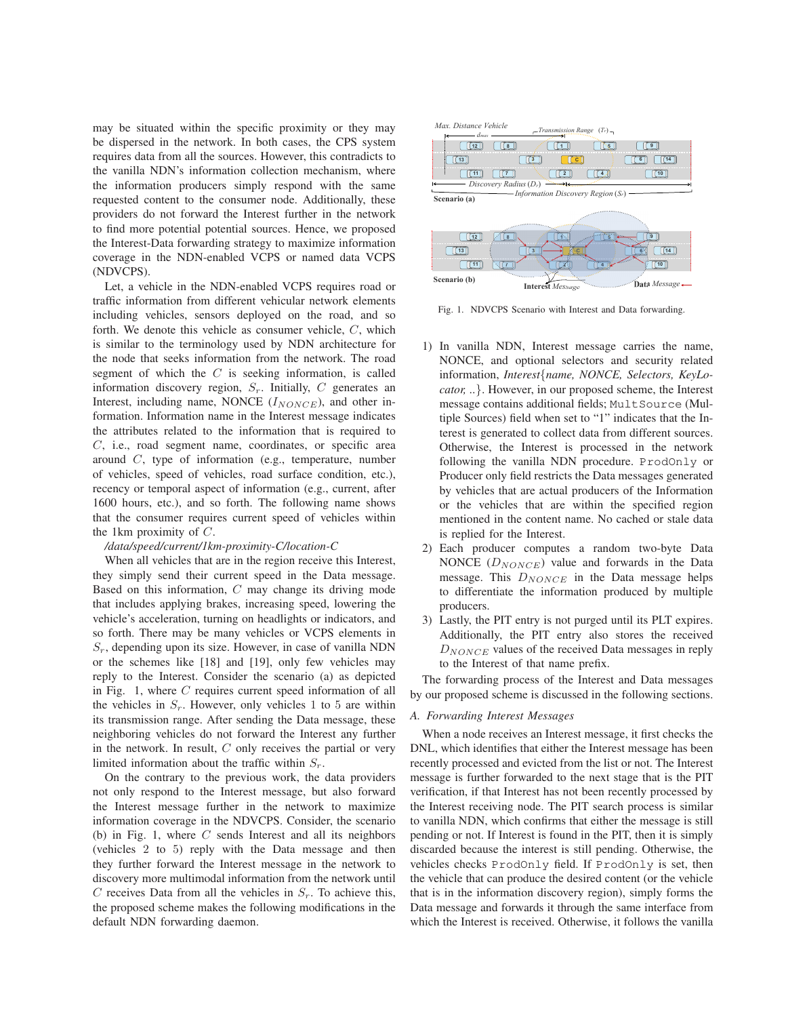may be situated within the specific proximity or they may be dispersed in the network. In both cases, the CPS system requires data from all the sources. However, this contradicts to the vanilla NDN's information collection mechanism, where the information producers simply respond with the same requested content to the consumer node. Additionally, these providers do not forward the Interest further in the network to find more potential potential sources. Hence, we proposed the Interest-Data forwarding strategy to maximize information coverage in the NDN-enabled VCPS or named data VCPS (NDVCPS).

Let, a vehicle in the NDN-enabled VCPS requires road or traffic information from different vehicular network elements including vehicles, sensors deployed on the road, and so forth. We denote this vehicle as consumer vehicle, C, which is similar to the terminology used by NDN architecture for the node that seeks information from the network. The road segment of which the  $C$  is seeking information, is called information discovery region,  $S_r$ . Initially, C generates an Interest, including name, NONCE  $(I_{NONCE})$ , and other information. Information name in the Interest message indicates the attributes related to the information that is required to C, i.e., road segment name, coordinates, or specific area around C, type of information (e.g., temperature, number of vehicles, speed of vehicles, road surface condition, etc.), recency or temporal aspect of information (e.g., current, after 1600 hours, etc.), and so forth. The following name shows that the consumer requires current speed of vehicles within the 1km proximity of C.

#### */data/speed/current/1km-proximity-C/location-C*

When all vehicles that are in the region receive this Interest, they simply send their current speed in the Data message. Based on this information, C may change its driving mode that includes applying brakes, increasing speed, lowering the vehicle's acceleration, turning on headlights or indicators, and so forth. There may be many vehicles or VCPS elements in  $S_r$ , depending upon its size. However, in case of vanilla NDN or the schemes like [18] and [19], only few vehicles may reply to the Interest. Consider the scenario (a) as depicted in Fig. 1, where C requires current speed information of all the vehicles in  $S_r$ . However, only vehicles 1 to 5 are within its transmission range. After sending the Data message, these neighboring vehicles do not forward the Interest any further in the network. In result,  $C$  only receives the partial or very limited information about the traffic within  $S_r$ .

On the contrary to the previous work, the data providers not only respond to the Interest message, but also forward the Interest message further in the network to maximize information coverage in the NDVCPS. Consider, the scenario (b) in Fig. 1, where  $C$  sends Interest and all its neighbors (vehicles 2 to 5) reply with the Data message and then they further forward the Interest message in the network to discovery more multimodal information from the network until C receives Data from all the vehicles in  $S_r$ . To achieve this, the proposed scheme makes the following modifications in the default NDN forwarding daemon.



Fig. 1. NDVCPS Scenario with Interest and Data forwarding.

- 1) In vanilla NDN, Interest message carries the name, NONCE, and optional selectors and security related information, *Interest*{*name, NONCE, Selectors, KeyLocator, ..*}. However, in our proposed scheme, the Interest message contains additional fields; MultSource (Multiple Sources) field when set to "1" indicates that the Interest is generated to collect data from different sources. Otherwise, the Interest is processed in the network following the vanilla NDN procedure. ProdOnly or Producer only field restricts the Data messages generated by vehicles that are actual producers of the Information or the vehicles that are within the specified region mentioned in the content name. No cached or stale data is replied for the Interest.
- 2) Each producer computes a random two-byte Data NONCE  $(D_{NONCE})$  value and forwards in the Data message. This  $D_{NONCE}$  in the Data message helps to differentiate the information produced by multiple producers.
- 3) Lastly, the PIT entry is not purged until its PLT expires. Additionally, the PIT entry also stores the received  $D_{NONCE}$  values of the received Data messages in reply to the Interest of that name prefix.

The forwarding process of the Interest and Data messages by our proposed scheme is discussed in the following sections.

#### *A. Forwarding Interest Messages*

When a node receives an Interest message, it first checks the DNL, which identifies that either the Interest message has been recently processed and evicted from the list or not. The Interest message is further forwarded to the next stage that is the PIT verification, if that Interest has not been recently processed by the Interest receiving node. The PIT search process is similar to vanilla NDN, which confirms that either the message is still pending or not. If Interest is found in the PIT, then it is simply discarded because the interest is still pending. Otherwise, the vehicles checks ProdOnly field. If ProdOnly is set, then the vehicle that can produce the desired content (or the vehicle that is in the information discovery region), simply forms the Data message and forwards it through the same interface from which the Interest is received. Otherwise, it follows the vanilla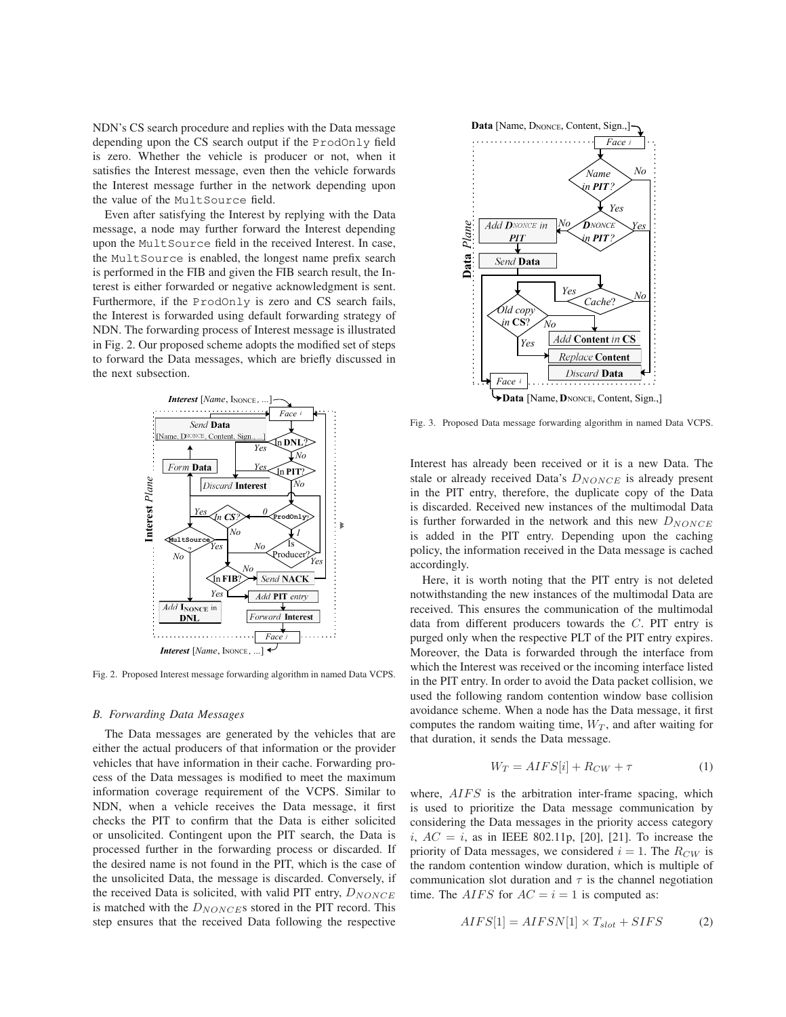NDN's CS search procedure and replies with the Data message depending upon the CS search output if the ProdOnly field is zero. Whether the vehicle is producer or not, when it satisfies the Interest message, even then the vehicle forwards the Interest message further in the network depending upon the value of the MultSource field.

Even after satisfying the Interest by replying with the Data message, a node may further forward the Interest depending upon the MultSource field in the received Interest. In case, the MultSource is enabled, the longest name prefix search is performed in the FIB and given the FIB search result, the Interest is either forwarded or negative acknowledgment is sent. Furthermore, if the ProdOnly is zero and CS search fails, the Interest is forwarded using default forwarding strategy of NDN. The forwarding process of Interest message is illustrated in Fig. 2. Our proposed scheme adopts the modified set of steps to forward the Data messages, which are briefly discussed in the next subsection.



Fig. 2. Proposed Interest message forwarding algorithm in named Data VCPS.

#### *B. Forwarding Data Messages*

The Data messages are generated by the vehicles that are either the actual producers of that information or the provider vehicles that have information in their cache. Forwarding process of the Data messages is modified to meet the maximum information coverage requirement of the VCPS. Similar to NDN, when a vehicle receives the Data message, it first checks the PIT to confirm that the Data is either solicited or unsolicited. Contingent upon the PIT search, the Data is processed further in the forwarding process or discarded. If the desired name is not found in the PIT, which is the case of the unsolicited Data, the message is discarded. Conversely, if the received Data is solicited, with valid PIT entry,  $D_{NONCE}$ is matched with the  $D_{NONCE}$ s stored in the PIT record. This step ensures that the received Data following the respective



Fig. 3. Proposed Data message forwarding algorithm in named Data VCPS.

Interest has already been received or it is a new Data. The stale or already received Data's  $D_{NONCE}$  is already present in the PIT entry, therefore, the duplicate copy of the Data is discarded. Received new instances of the multimodal Data is further forwarded in the network and this new  $D_{NONCE}$ is added in the PIT entry. Depending upon the caching policy, the information received in the Data message is cached accordingly.

Here, it is worth noting that the PIT entry is not deleted notwithstanding the new instances of the multimodal Data are received. This ensures the communication of the multimodal data from different producers towards the C. PIT entry is purged only when the respective PLT of the PIT entry expires. Moreover, the Data is forwarded through the interface from which the Interest was received or the incoming interface listed in the PIT entry. In order to avoid the Data packet collision, we used the following random contention window base collision avoidance scheme. When a node has the Data message, it first computes the random waiting time,  $W_T$ , and after waiting for that duration, it sends the Data message.

$$
W_T = AIFS[i] + R_{CW} + \tau \tag{1}
$$

where,  $AIFS$  is the arbitration inter-frame spacing, which is used to prioritize the Data message communication by considering the Data messages in the priority access category i,  $AC = i$ , as in IEEE 802.11p, [20], [21]. To increase the priority of Data messages, we considered  $i = 1$ . The  $R_{CW}$  is the random contention window duration, which is multiple of communication slot duration and  $\tau$  is the channel negotiation time. The *AIFS* for  $AC = i = 1$  is computed as:

$$
AIFS[1] = AIFSN[1] \times T_{slot} + SIFS \tag{2}
$$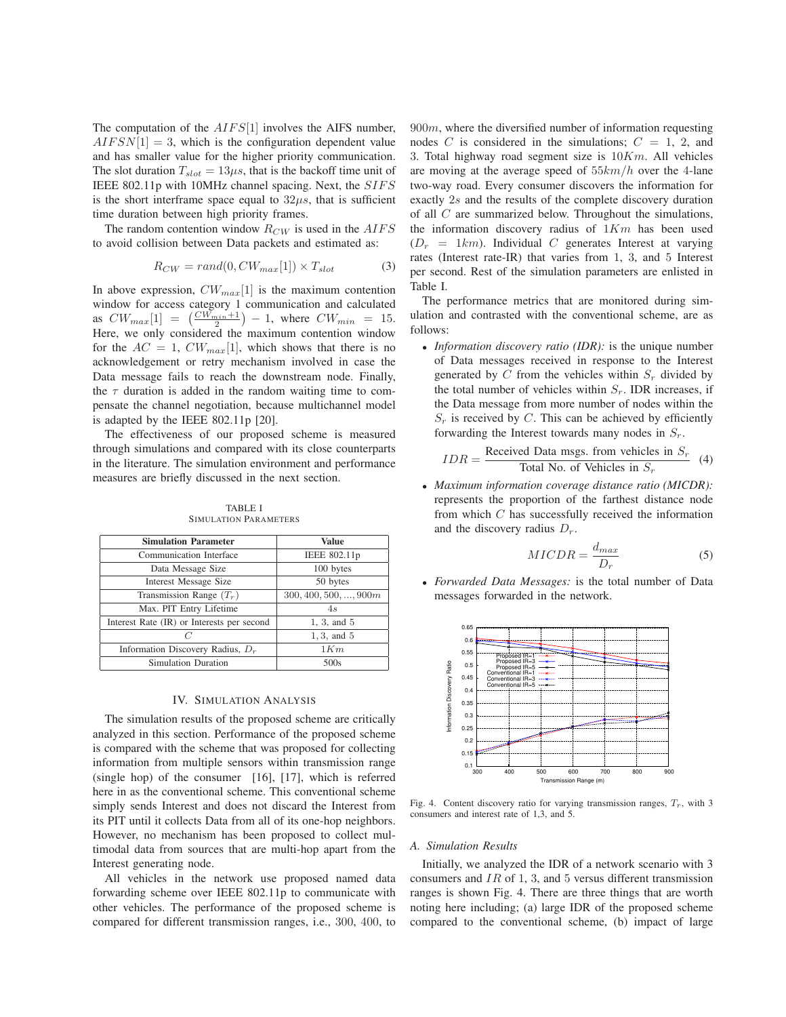The computation of the  $AIFS[1]$  involves the AIFS number,  $AIFSN[1] = 3$ , which is the configuration dependent value and has smaller value for the higher priority communication. The slot duration  $T_{slot} = 13 \mu s$ , that is the backoff time unit of IEEE 802.11p with 10MHz channel spacing. Next, the SIFS is the short interframe space equal to  $32\mu s$ , that is sufficient time duration between high priority frames.

The random contention window  $R_{CW}$  is used in the  $AIFS$ to avoid collision between Data packets and estimated as:

$$
R_{CW} = rand(0, CW_{max}[1]) \times T_{slot}
$$
 (3)

In above expression,  $CW_{max}[1]$  is the maximum contention window for access category 1 communication and calculated as  $CW_{max}[1] = \left(\frac{CW_{min}+1}{2}\right) - 1$ , where  $CW_{min} = 15$ . Here, we only considered the maximum contention window for the  $AC = 1$ ,  $CW_{max}[1]$ , which shows that there is no acknowledgement or retry mechanism involved in case the Data message fails to reach the downstream node. Finally, the  $\tau$  duration is added in the random waiting time to compensate the channel negotiation, because multichannel model is adapted by the IEEE 802.11p [20].

The effectiveness of our proposed scheme is measured through simulations and compared with its close counterparts in the literature. The simulation environment and performance measures are briefly discussed in the next section.

| <b>Simulation Parameter</b>                | Value                         |
|--------------------------------------------|-------------------------------|
| Communication Interface                    | IEEE 802.11p                  |
| Data Message Size                          | 100 bytes                     |
| <b>Interest Message Size</b>               | 50 bytes                      |
| Transmission Range $(T_r)$                 | $300, 400, 500, \ldots, 900m$ |
| Max. PIT Entry Lifetime                    | 4s                            |
| Interest Rate (IR) or Interests per second | 1, 3, and 5                   |
| C                                          | $1, 3,$ and $5$               |
| Information Discovery Radius, $D_r$        | 1Km                           |
| Simulation Duration                        | 500s                          |

TABLE I SIMULATION PARAMETERS

# IV. SIMULATION ANALYSIS

The simulation results of the proposed scheme are critically analyzed in this section. Performance of the proposed scheme is compared with the scheme that was proposed for collecting information from multiple sensors within transmission range (single hop) of the consumer [16], [17], which is referred here in as the conventional scheme. This conventional scheme simply sends Interest and does not discard the Interest from its PIT until it collects Data from all of its one-hop neighbors. However, no mechanism has been proposed to collect multimodal data from sources that are multi-hop apart from the Interest generating node.

All vehicles in the network use proposed named data forwarding scheme over IEEE 802.11p to communicate with other vehicles. The performance of the proposed scheme is compared for different transmission ranges, i.e., 300, 400, to  $900m$ , where the diversified number of information requesting nodes C is considered in the simulations;  $C = 1$ , 2, and 3. Total highway road segment size is  $10Km$ . All vehicles are moving at the average speed of  $55km/h$  over the 4-lane two-way road. Every consumer discovers the information for exactly 2s and the results of the complete discovery duration of all C are summarized below. Throughout the simulations, the information discovery radius of  $1Km$  has been used  $(D_r = 1km)$ . Individual C generates Interest at varying rates (Interest rate-IR) that varies from 1, 3, and 5 Interest per second. Rest of the simulation parameters are enlisted in Table I.

The performance metrics that are monitored during simulation and contrasted with the conventional scheme, are as follows:

• *Information discovery ratio (IDR):* is the unique number of Data messages received in response to the Interest generated by  $C$  from the vehicles within  $S_r$  divided by the total number of vehicles within  $S_r$ . IDR increases, if the Data message from more number of nodes within the  $S_r$  is received by C. This can be achieved by efficiently forwarding the Interest towards many nodes in  $S_r$ .

$$
IDR = \frac{\text{Received Data msgs. from vehicles in } S_r}{\text{Total No. of Vehicles in } S_r}
$$
 (4)

• *Maximum information coverage distance ratio (MICDR):* represents the proportion of the farthest distance node from which C has successfully received the information and the discovery radius  $D_r$ .

$$
MICDR = \frac{d_{max}}{D_r} \tag{5}
$$

• *Forwarded Data Messages:* is the total number of Data messages forwarded in the network.



Fig. 4. Content discovery ratio for varying transmission ranges,  $T_r$ , with 3 consumers and interest rate of 1,3, and 5.

#### *A. Simulation Results*

Initially, we analyzed the IDR of a network scenario with 3 consumers and  $IR$  of 1, 3, and 5 versus different transmission ranges is shown Fig. 4. There are three things that are worth noting here including; (a) large IDR of the proposed scheme compared to the conventional scheme, (b) impact of large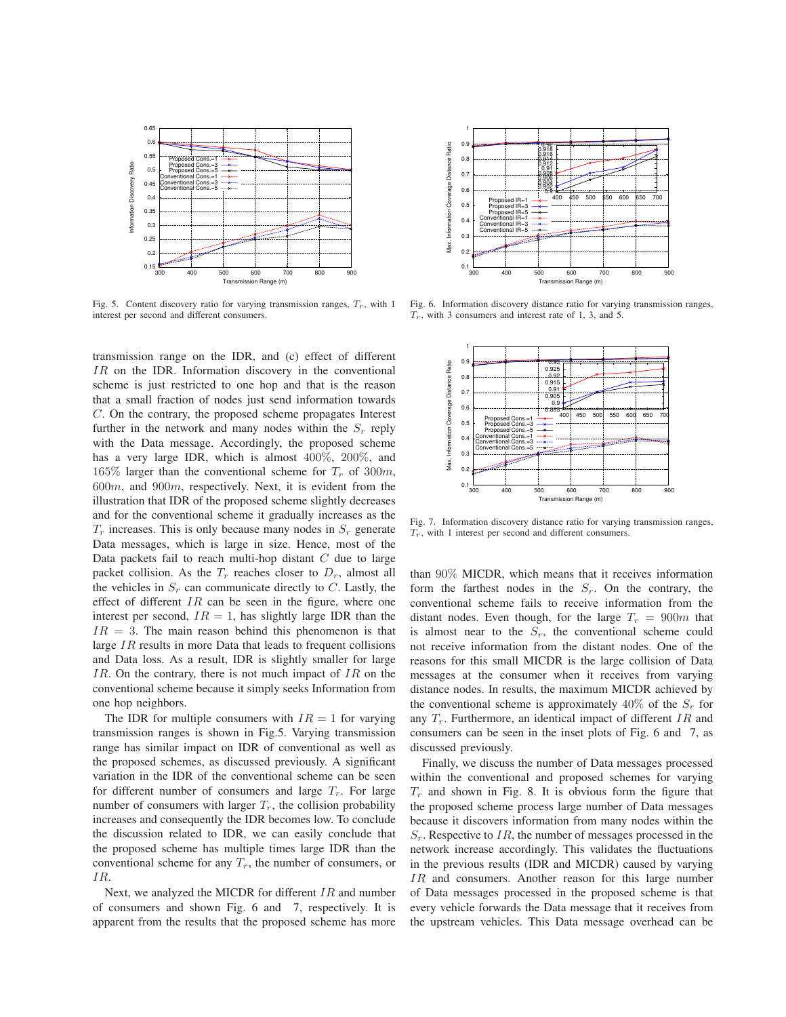

Fig. 5. Content discovery ratio for varying transmission ranges,  $T_r$ , with 1 interest per second and different consumers.

transmission range on the IDR, and (c) effect of different IR on the IDR. Information discovery in the conventional scheme is just restricted to one hop and that is the reason that a small fraction of nodes just send information towards C. On the contrary, the proposed scheme propagates Interest further in the network and many nodes within the  $S_r$  reply with the Data message. Accordingly, the proposed scheme has a very large IDR, which is almost 400%, 200%, and 165% larger than the conventional scheme for  $T_r$  of 300m, 600m, and 900m, respectively. Next, it is evident from the illustration that IDR of the proposed scheme slightly decreases and for the conventional scheme it gradually increases as the  $T_r$  increases. This is only because many nodes in  $S_r$  generate Data messages, which is large in size. Hence, most of the Data packets fail to reach multi-hop distant  $C$  due to large packet collision. As the  $T_r$  reaches closer to  $D_r$ , almost all the vehicles in  $S_r$  can communicate directly to C. Lastly, the effect of different  $IR$  can be seen in the figure, where one interest per second,  $IR = 1$ , has slightly large IDR than the  $IR = 3$ . The main reason behind this phenomenon is that large IR results in more Data that leads to frequent collisions and Data loss. As a result, IDR is slightly smaller for large IR. On the contrary, there is not much impact of  $IR$  on the conventional scheme because it simply seeks Information from one hop neighbors.

The IDR for multiple consumers with  $IR = 1$  for varying transmission ranges is shown in Fig.5. Varying transmission range has similar impact on IDR of conventional as well as the proposed schemes, as discussed previously. A significant variation in the IDR of the conventional scheme can be seen for different number of consumers and large  $T_r$ . For large number of consumers with larger  $T_r$ , the collision probability increases and consequently the IDR becomes low. To conclude the discussion related to IDR, we can easily conclude that the proposed scheme has multiple times large IDR than the conventional scheme for any  $T_r$ , the number of consumers, or IR.

Next, we analyzed the MICDR for different  $IR$  and number of consumers and shown Fig. 6 and 7, respectively. It is apparent from the results that the proposed scheme has more



Fig. 6. Information discovery distance ratio for varying transmission ranges,  $T_r$ , with 3 consumers and interest rate of 1, 3, and 5.



Fig. 7. Information discovery distance ratio for varying transmission ranges,  $T_r$ , with 1 interest per second and different consumers.

than 90% MICDR, which means that it receives information form the farthest nodes in the  $S_r$ . On the contrary, the conventional scheme fails to receive information from the distant nodes. Even though, for the large  $T_r = 900m$  that is almost near to the  $S_r$ , the conventional scheme could not receive information from the distant nodes. One of the reasons for this small MICDR is the large collision of Data messages at the consumer when it receives from varying distance nodes. In results, the maximum MICDR achieved by the conventional scheme is approximately 40% of the  $S_r$  for any  $T_r$ . Furthermore, an identical impact of different IR and consumers can be seen in the inset plots of Fig. 6 and 7, as discussed previously.

Finally, we discuss the number of Data messages processed within the conventional and proposed schemes for varying  $T_r$  and shown in Fig. 8. It is obvious form the figure that the proposed scheme process large number of Data messages because it discovers information from many nodes within the  $S_r$ . Respective to IR, the number of messages processed in the network increase accordingly. This validates the fluctuations in the previous results (IDR and MICDR) caused by varying IR and consumers. Another reason for this large number of Data messages processed in the proposed scheme is that every vehicle forwards the Data message that it receives from the upstream vehicles. This Data message overhead can be